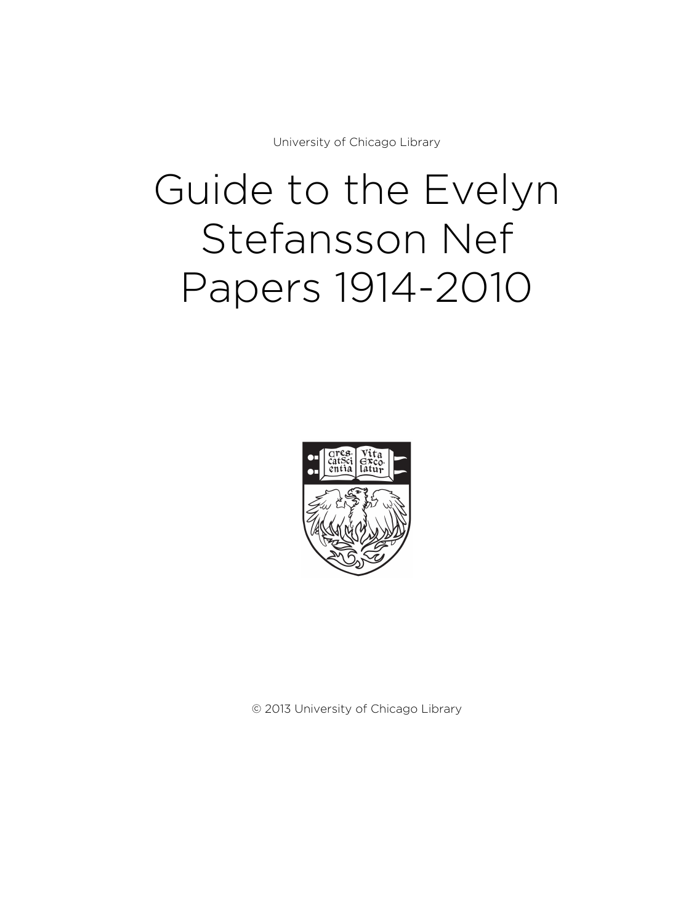University of Chicago Library

# Guide to the Evelyn Stefansson Nef Papers 1914-2010



© 2013 University of Chicago Library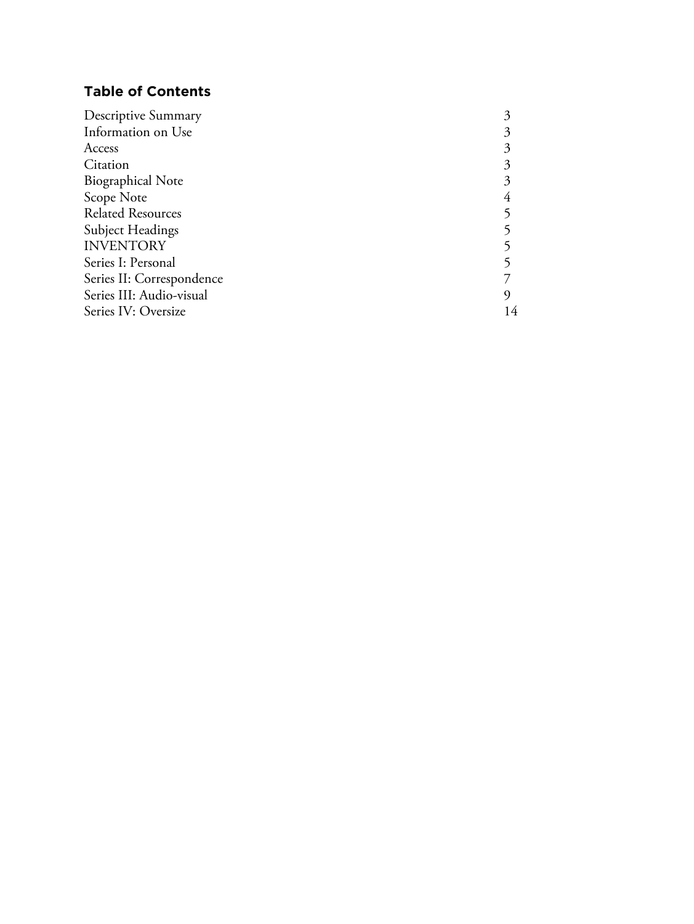# **Table of Contents**

| Descriptive Summary       |    |
|---------------------------|----|
| Information on Use        |    |
| Access                    |    |
| Citation                  |    |
| <b>Biographical Note</b>  |    |
| Scope Note                |    |
| <b>Related Resources</b>  |    |
| <b>Subject Headings</b>   |    |
| <b>INVENTORY</b>          |    |
| Series I: Personal        |    |
| Series II: Correspondence |    |
| Series III: Audio-visual  |    |
| Series IV: Oversize       | 14 |
|                           |    |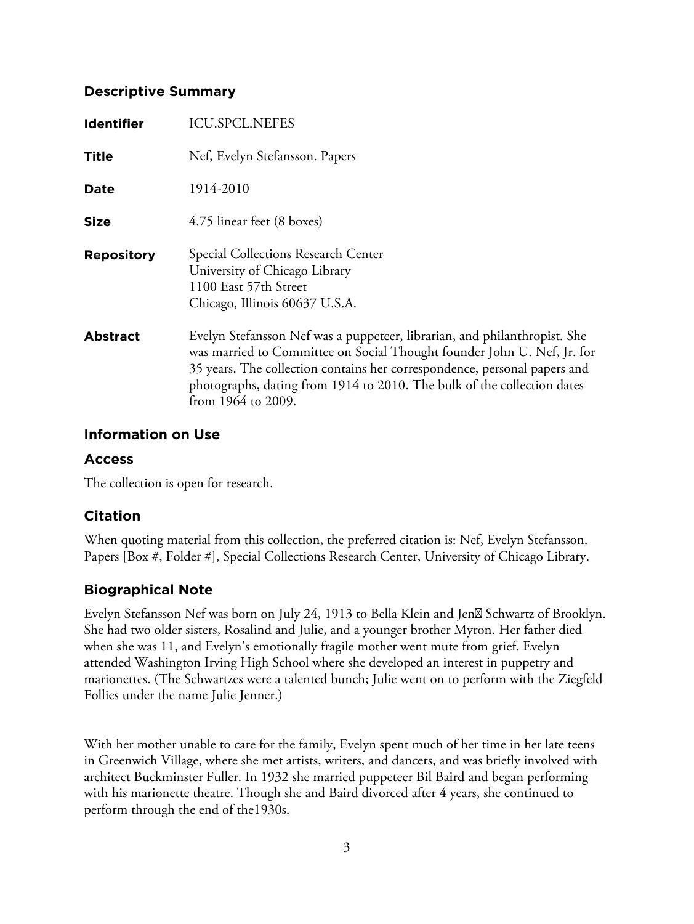# **Descriptive Summary**

| <b>Identifier</b> | <b>ICU.SPCL.NEFES</b>                                                                                                                                                                                                                                                                                                              |
|-------------------|------------------------------------------------------------------------------------------------------------------------------------------------------------------------------------------------------------------------------------------------------------------------------------------------------------------------------------|
| <b>Title</b>      | Nef, Evelyn Stefansson. Papers                                                                                                                                                                                                                                                                                                     |
| <b>Date</b>       | 1914-2010                                                                                                                                                                                                                                                                                                                          |
| <b>Size</b>       | 4.75 linear feet (8 boxes)                                                                                                                                                                                                                                                                                                         |
| <b>Repository</b> | Special Collections Research Center<br>University of Chicago Library<br>1100 East 57th Street<br>Chicago, Illinois 60637 U.S.A.                                                                                                                                                                                                    |
| <b>Abstract</b>   | Evelyn Stefansson Nef was a puppeteer, librarian, and philanthropist. She<br>was married to Committee on Social Thought founder John U. Nef, Jr. for<br>35 years. The collection contains her correspondence, personal papers and<br>photographs, dating from 1914 to 2010. The bulk of the collection dates<br>from 1964 to 2009. |

# **Information on Use**

# **Access**

The collection is open for research.

# **Citation**

When quoting material from this collection, the preferred citation is: Nef, Evelyn Stefansson. Papers [Box #, Folder #], Special Collections Research Center, University of Chicago Library.

# **Biographical Note**

Evelyn Stefansson Nef was born on July 24, 1913 to Bella Klein and Jen & Schwartz of Brooklyn. She had two older sisters, Rosalind and Julie, and a younger brother Myron. Her father died when she was 11, and Evelyn's emotionally fragile mother went mute from grief. Evelyn attended Washington Irving High School where she developed an interest in puppetry and marionettes. (The Schwartzes were a talented bunch; Julie went on to perform with the Ziegfeld Follies under the name Julie Jenner.)

With her mother unable to care for the family, Evelyn spent much of her time in her late teens in Greenwich Village, where she met artists, writers, and dancers, and was briefly involved with architect Buckminster Fuller. In 1932 she married puppeteer Bil Baird and began performing with his marionette theatre. Though she and Baird divorced after 4 years, she continued to perform through the end of the1930s.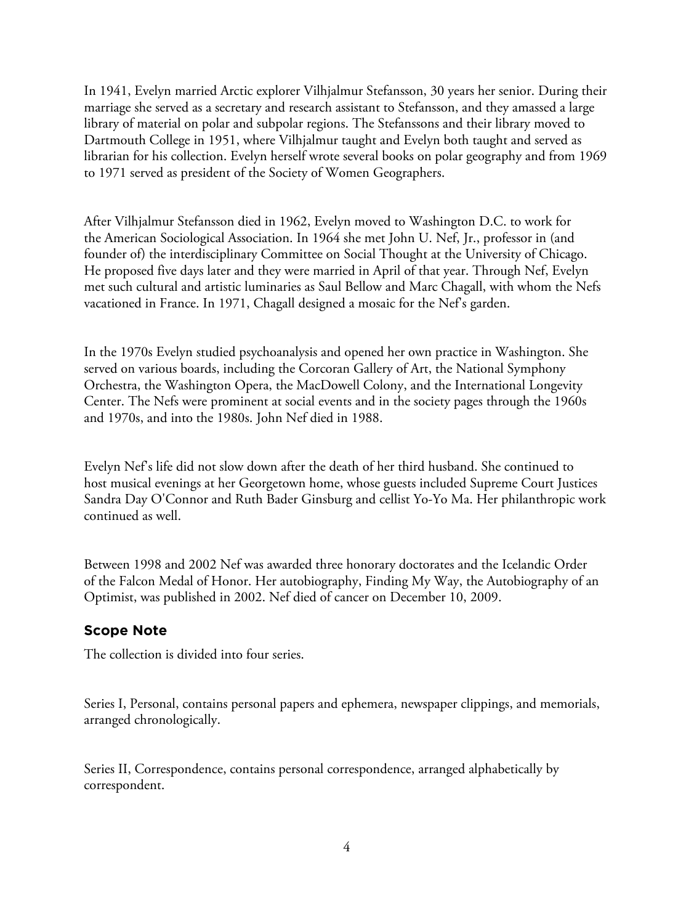In 1941, Evelyn married Arctic explorer Vilhjalmur Stefansson, 30 years her senior. During their marriage she served as a secretary and research assistant to Stefansson, and they amassed a large library of material on polar and subpolar regions. The Stefanssons and their library moved to Dartmouth College in 1951, where Vilhjalmur taught and Evelyn both taught and served as librarian for his collection. Evelyn herself wrote several books on polar geography and from 1969 to 1971 served as president of the Society of Women Geographers.

After Vilhjalmur Stefansson died in 1962, Evelyn moved to Washington D.C. to work for the American Sociological Association. In 1964 she met John U. Nef, Jr., professor in (and founder of) the interdisciplinary Committee on Social Thought at the University of Chicago. He proposed five days later and they were married in April of that year. Through Nef, Evelyn met such cultural and artistic luminaries as Saul Bellow and Marc Chagall, with whom the Nefs vacationed in France. In 1971, Chagall designed a mosaic for the Nef's garden.

In the 1970s Evelyn studied psychoanalysis and opened her own practice in Washington. She served on various boards, including the Corcoran Gallery of Art, the National Symphony Orchestra, the Washington Opera, the MacDowell Colony, and the International Longevity Center. The Nefs were prominent at social events and in the society pages through the 1960s and 1970s, and into the 1980s. John Nef died in 1988.

Evelyn Nef's life did not slow down after the death of her third husband. She continued to host musical evenings at her Georgetown home, whose guests included Supreme Court Justices Sandra Day O'Connor and Ruth Bader Ginsburg and cellist Yo-Yo Ma. Her philanthropic work continued as well.

Between 1998 and 2002 Nef was awarded three honorary doctorates and the Icelandic Order of the Falcon Medal of Honor. Her autobiography, Finding My Way, the Autobiography of an Optimist, was published in 2002. Nef died of cancer on December 10, 2009.

# **Scope Note**

The collection is divided into four series.

Series I, Personal, contains personal papers and ephemera, newspaper clippings, and memorials, arranged chronologically.

Series II, Correspondence, contains personal correspondence, arranged alphabetically by correspondent.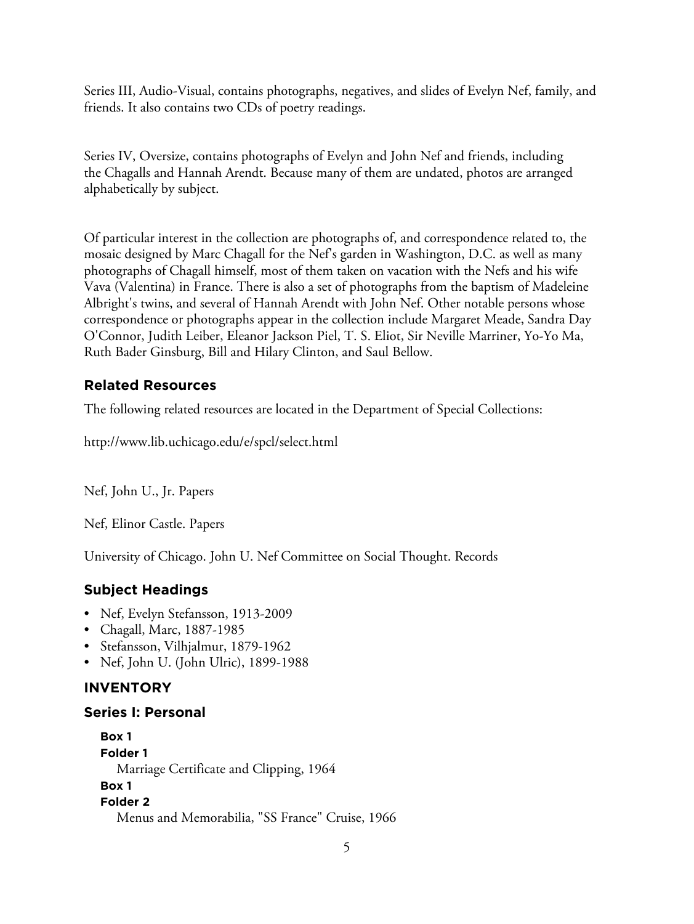Series III, Audio-Visual, contains photographs, negatives, and slides of Evelyn Nef, family, and friends. It also contains two CDs of poetry readings.

Series IV, Oversize, contains photographs of Evelyn and John Nef and friends, including the Chagalls and Hannah Arendt. Because many of them are undated, photos are arranged alphabetically by subject.

Of particular interest in the collection are photographs of, and correspondence related to, the mosaic designed by Marc Chagall for the Nef's garden in Washington, D.C. as well as many photographs of Chagall himself, most of them taken on vacation with the Nefs and his wife Vava (Valentina) in France. There is also a set of photographs from the baptism of Madeleine Albright's twins, and several of Hannah Arendt with John Nef. Other notable persons whose correspondence or photographs appear in the collection include Margaret Meade, Sandra Day O'Connor, Judith Leiber, Eleanor Jackson Piel, T. S. Eliot, Sir Neville Marriner, Yo-Yo Ma, Ruth Bader Ginsburg, Bill and Hilary Clinton, and Saul Bellow.

# **Related Resources**

The following related resources are located in the Department of Special Collections:

http://www.lib.uchicago.edu/e/spcl/select.html

Nef, John U., Jr. Papers

Nef, Elinor Castle. Papers

University of Chicago. John U. Nef Committee on Social Thought. Records

# **Subject Headings**

- Nef, Evelyn Stefansson, 1913-2009
- Chagall, Marc, 1887-1985
- Stefansson, Vilhjalmur, 1879-1962
- Nef, John U. (John Ulric), 1899-1988

# **INVENTORY**

# **Series I: Personal**

**Box 1 Folder 1** Marriage Certificate and Clipping, 1964 **Box 1 Folder 2** Menus and Memorabilia, "SS France" Cruise, 1966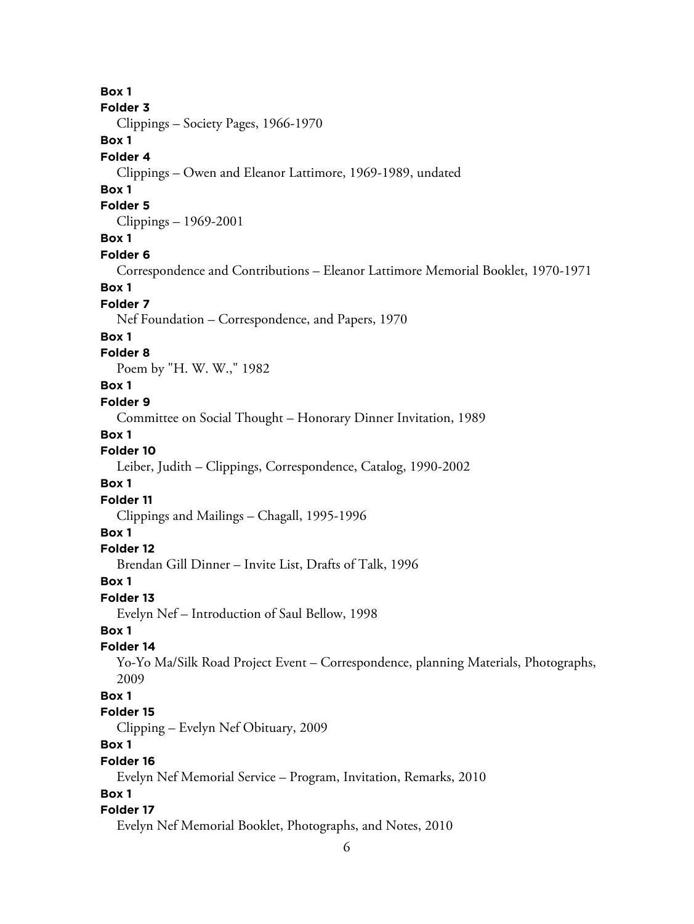# **Box 1**

#### **Folder 3**

Clippings – Society Pages, 1966-1970

# **Box 1**

## **Folder 4**

Clippings – Owen and Eleanor Lattimore, 1969-1989, undated

## **Box 1**

#### **Folder 5**

Clippings – 1969-2001

# **Box 1**

#### **Folder 6**

Correspondence and Contributions – Eleanor Lattimore Memorial Booklet, 1970-1971

#### **Box 1**

#### **Folder 7**

Nef Foundation – Correspondence, and Papers, 1970

## **Box 1**

## **Folder 8**

Poem by "H. W. W.," 1982

## **Box 1**

#### **Folder 9**

Committee on Social Thought – Honorary Dinner Invitation, 1989

# **Box 1**

# **Folder 10**

Leiber, Judith – Clippings, Correspondence, Catalog, 1990-2002

# **Box 1**

# **Folder 11**

Clippings and Mailings – Chagall, 1995-1996

## **Box 1**

# **Folder 12**

Brendan Gill Dinner – Invite List, Drafts of Talk, 1996

# **Box 1**

#### **Folder 13**

Evelyn Nef – Introduction of Saul Bellow, 1998

# **Box 1**

# **Folder 14**

Yo-Yo Ma/Silk Road Project Event – Correspondence, planning Materials, Photographs, 2009

# **Box 1**

# **Folder 15**

Clipping – Evelyn Nef Obituary, 2009

# **Box 1**

# **Folder 16**

Evelyn Nef Memorial Service – Program, Invitation, Remarks, 2010

# **Box 1**

# **Folder 17**

Evelyn Nef Memorial Booklet, Photographs, and Notes, 2010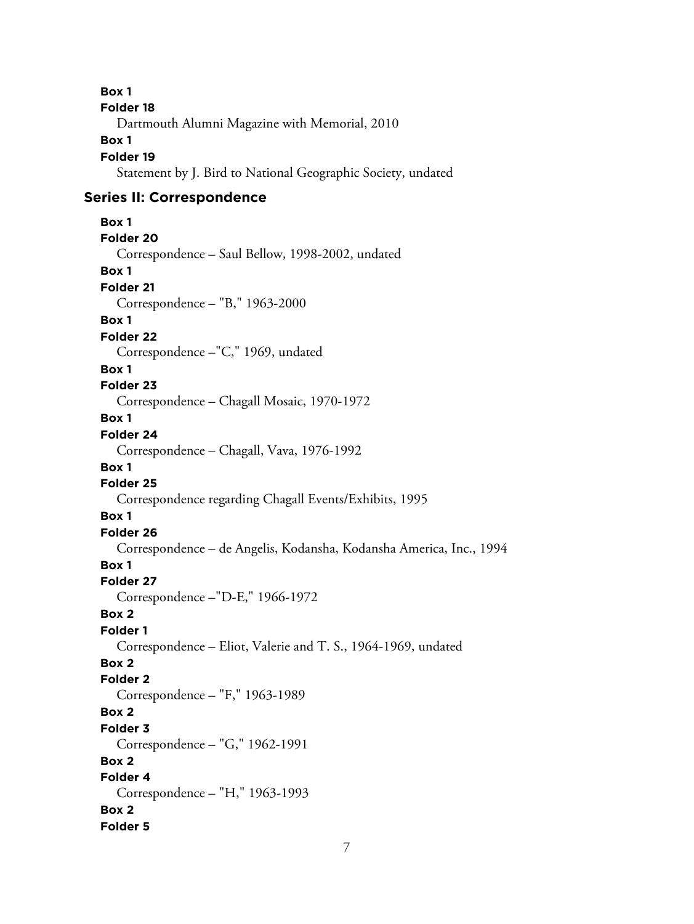**Box 1 Folder 18** Dartmouth Alumni Magazine with Memorial, 2010 **Box 1 Folder 19** Statement by J. Bird to National Geographic Society, undated **Series II: Correspondence Box 1 Folder 20** Correspondence – Saul Bellow, 1998-2002, undated **Box 1 Folder 21** Correspondence – "B," 1963-2000 **Box 1 Folder 22** Correspondence –"C," 1969, undated **Box 1 Folder 23** Correspondence – Chagall Mosaic, 1970-1972 **Box 1 Folder 24** Correspondence – Chagall, Vava, 1976-1992 **Box 1 Folder 25** Correspondence regarding Chagall Events/Exhibits, 1995 **Box 1 Folder 26** Correspondence – de Angelis, Kodansha, Kodansha America, Inc., 1994 **Box 1 Folder 27** Correspondence –"D-E," 1966-1972 **Box 2 Folder 1** Correspondence – Eliot, Valerie and T. S., 1964-1969, undated **Box 2 Folder 2** Correspondence – "F," 1963-1989 **Box 2 Folder 3** Correspondence – "G," 1962-1991 **Box 2 Folder 4** Correspondence – "H," 1963-1993 **Box 2 Folder 5**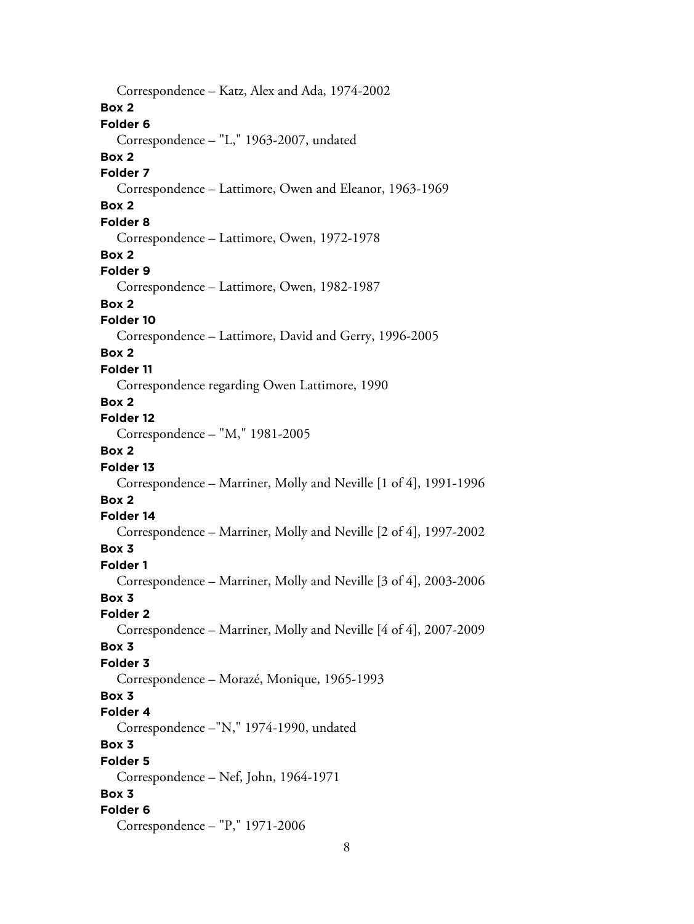Correspondence – Katz, Alex and Ada, 1974-2002 **Box 2 Folder 6** Correspondence – "L," 1963-2007, undated **Box 2 Folder 7** Correspondence – Lattimore, Owen and Eleanor, 1963-1969 **Box 2 Folder 8** Correspondence – Lattimore, Owen, 1972-1978 **Box 2 Folder 9** Correspondence – Lattimore, Owen, 1982-1987 **Box 2 Folder 10** Correspondence – Lattimore, David and Gerry, 1996-2005 **Box 2 Folder 11** Correspondence regarding Owen Lattimore, 1990 **Box 2 Folder 12** Correspondence – "M," 1981-2005 **Box 2 Folder 13** Correspondence – Marriner, Molly and Neville [1 of 4], 1991-1996 **Box 2 Folder 14** Correspondence – Marriner, Molly and Neville [2 of 4], 1997-2002 **Box 3 Folder 1** Correspondence – Marriner, Molly and Neville [3 of 4], 2003-2006 **Box 3 Folder 2** Correspondence – Marriner, Molly and Neville [4 of 4], 2007-2009 **Box 3 Folder 3** Correspondence – Morazé, Monique, 1965-1993 **Box 3 Folder 4** Correspondence –"N," 1974-1990, undated **Box 3 Folder 5** Correspondence – Nef, John, 1964-1971 **Box 3 Folder 6** Correspondence – "P," 1971-2006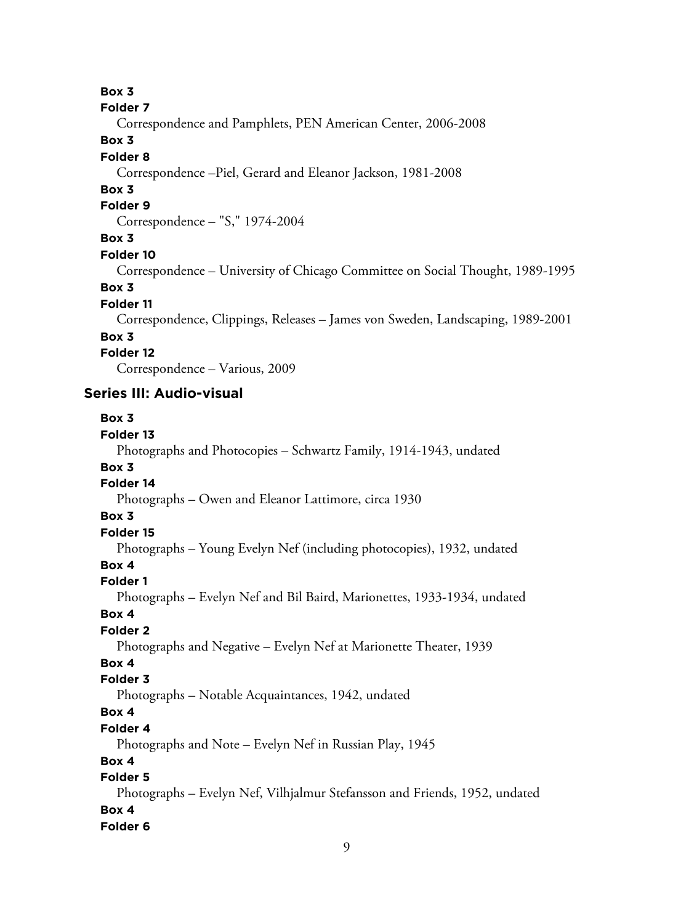**Box 3**

```
Folder 7
```
Correspondence and Pamphlets, PEN American Center, 2006-2008

# **Box 3**

## **Folder 8**

Correspondence –Piel, Gerard and Eleanor Jackson, 1981-2008

# **Box 3**

## **Folder 9**

Correspondence – "S," 1974-2004

# **Box 3**

## **Folder 10**

Correspondence – University of Chicago Committee on Social Thought, 1989-1995

# **Box 3**

## **Folder 11**

Correspondence, Clippings, Releases – James von Sweden, Landscaping, 1989-2001

# **Box 3**

# **Folder 12**

Correspondence – Various, 2009

# **Series III: Audio-visual**

# **Box 3**

# **Folder 13**

Photographs and Photocopies – Schwartz Family, 1914-1943, undated

# **Box 3**

# **Folder 14**

Photographs – Owen and Eleanor Lattimore, circa 1930

# **Box 3**

# **Folder 15**

Photographs – Young Evelyn Nef (including photocopies), 1932, undated

# **Box 4**

# **Folder 1**

Photographs – Evelyn Nef and Bil Baird, Marionettes, 1933-1934, undated

## **Box 4**

# **Folder 2**

Photographs and Negative – Evelyn Nef at Marionette Theater, 1939

# **Box 4**

# **Folder 3**

Photographs – Notable Acquaintances, 1942, undated

# **Box 4**

# **Folder 4**

Photographs and Note – Evelyn Nef in Russian Play, 1945

# **Box 4**

# **Folder 5**

Photographs – Evelyn Nef, Vilhjalmur Stefansson and Friends, 1952, undated **Box 4 Folder 6**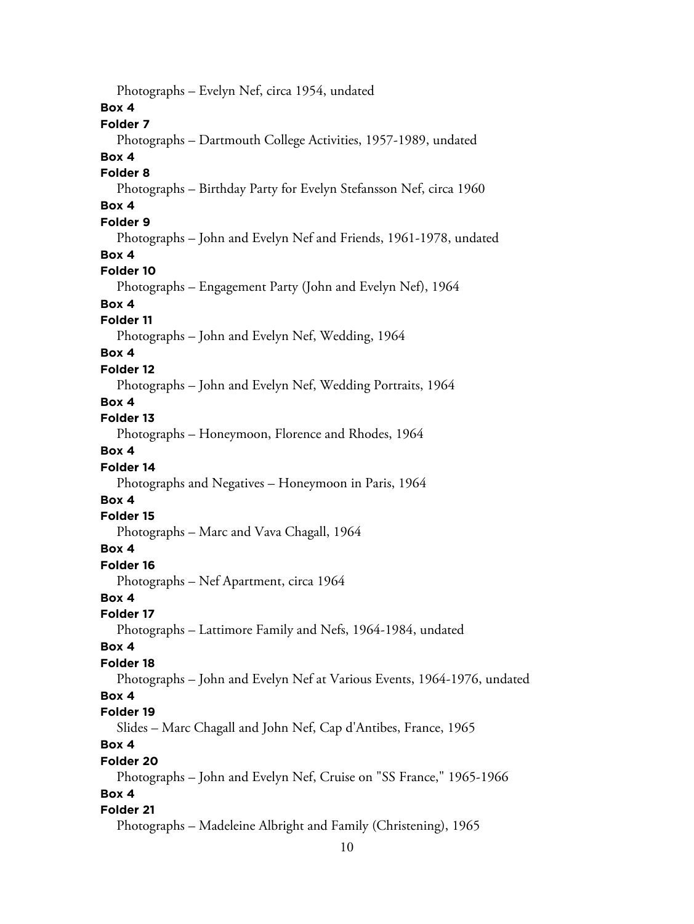Photographs – Evelyn Nef, circa 1954, undated **Box 4 Folder 7** Photographs – Dartmouth College Activities, 1957-1989, undated **Box 4 Folder 8** Photographs – Birthday Party for Evelyn Stefansson Nef, circa 1960 **Box 4 Folder 9** Photographs – John and Evelyn Nef and Friends, 1961-1978, undated **Box 4 Folder 10** Photographs – Engagement Party (John and Evelyn Nef), 1964 **Box 4 Folder 11** Photographs – John and Evelyn Nef, Wedding, 1964 **Box 4 Folder 12** Photographs – John and Evelyn Nef, Wedding Portraits, 1964 **Box 4 Folder 13** Photographs – Honeymoon, Florence and Rhodes, 1964 **Box 4 Folder 14** Photographs and Negatives – Honeymoon in Paris, 1964 **Box 4 Folder 15** Photographs – Marc and Vava Chagall, 1964 **Box 4 Folder 16** Photographs – Nef Apartment, circa 1964 **Box 4 Folder 17** Photographs – Lattimore Family and Nefs, 1964-1984, undated **Box 4 Folder 18** Photographs – John and Evelyn Nef at Various Events, 1964-1976, undated **Box 4 Folder 19** Slides – Marc Chagall and John Nef, Cap d'Antibes, France, 1965 **Box 4 Folder 20** Photographs – John and Evelyn Nef, Cruise on "SS France," 1965-1966 **Box 4 Folder 21** Photographs – Madeleine Albright and Family (Christening), 1965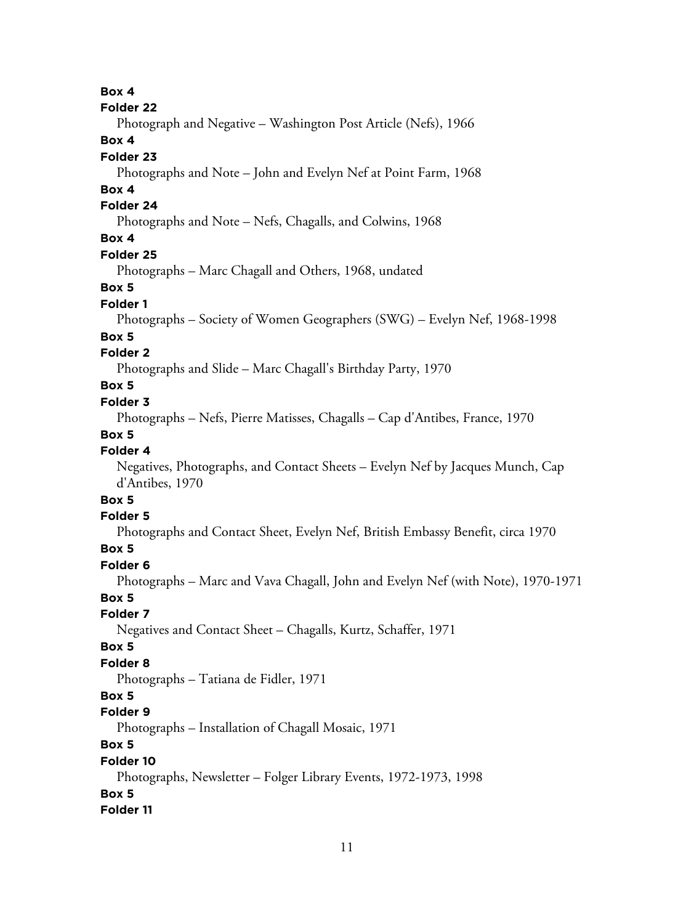**Box 4**

#### **Folder 22**

Photograph and Negative – Washington Post Article (Nefs), 1966

# **Box 4**

# **Folder 23**

Photographs and Note – John and Evelyn Nef at Point Farm, 1968

# **Box 4**

# **Folder 24**

Photographs and Note – Nefs, Chagalls, and Colwins, 1968

# **Box 4**

# **Folder 25**

Photographs – Marc Chagall and Others, 1968, undated

## **Box 5**

#### **Folder 1**

Photographs – Society of Women Geographers (SWG) – Evelyn Nef, 1968-1998

#### **Box 5**

## **Folder 2**

Photographs and Slide – Marc Chagall's Birthday Party, 1970

## **Box 5**

#### **Folder 3**

Photographs – Nefs, Pierre Matisses, Chagalls – Cap d'Antibes, France, 1970

## **Box 5**

# **Folder 4**

Negatives, Photographs, and Contact Sheets – Evelyn Nef by Jacques Munch, Cap d'Antibes, 1970

# **Box 5**

#### **Folder 5**

Photographs and Contact Sheet, Evelyn Nef, British Embassy Benefit, circa 1970

# **Box 5**

#### **Folder 6**

Photographs – Marc and Vava Chagall, John and Evelyn Nef (with Note), 1970-1971

#### **Box 5**

#### **Folder 7**

Negatives and Contact Sheet – Chagalls, Kurtz, Schaffer, 1971

#### **Box 5**

# **Folder 8**

Photographs – Tatiana de Fidler, 1971

# **Box 5**

#### **Folder 9**

Photographs – Installation of Chagall Mosaic, 1971

# **Box 5**

#### **Folder 10**

Photographs, Newsletter – Folger Library Events, 1972-1973, 1998

# **Box 5**

# **Folder 11**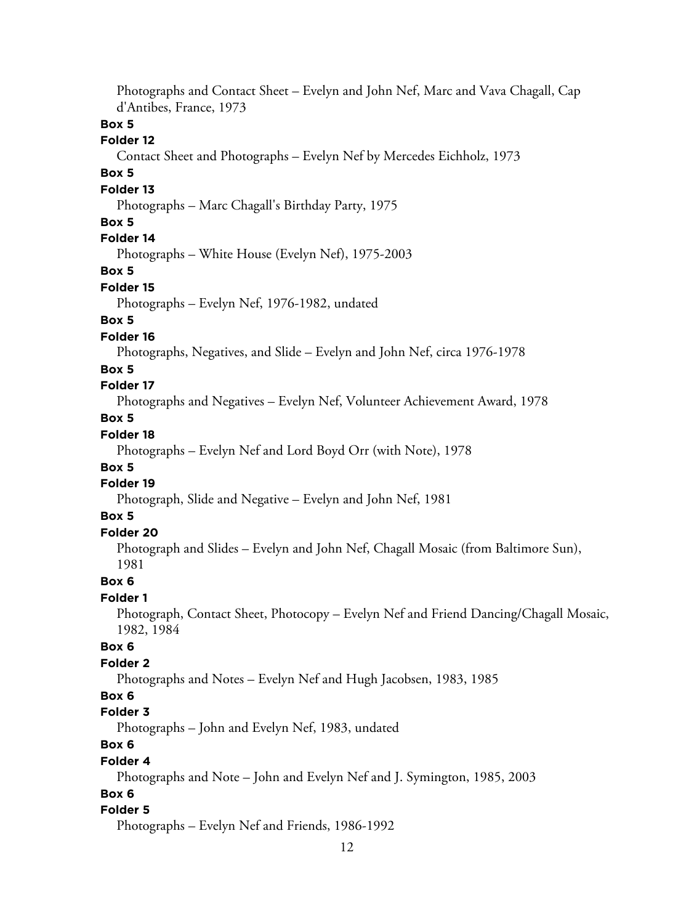Photographs and Contact Sheet – Evelyn and John Nef, Marc and Vava Chagall, Cap d'Antibes, France, 1973 **Box 5 Folder 12** Contact Sheet and Photographs – Evelyn Nef by Mercedes Eichholz, 1973 **Box 5 Folder 13** Photographs – Marc Chagall's Birthday Party, 1975 **Box 5 Folder 14** Photographs – White House (Evelyn Nef), 1975-2003 **Box 5 Folder 15** Photographs – Evelyn Nef, 1976-1982, undated **Box 5 Folder 16** Photographs, Negatives, and Slide – Evelyn and John Nef, circa 1976-1978 **Box 5 Folder 17** Photographs and Negatives – Evelyn Nef, Volunteer Achievement Award, 1978 **Box 5 Folder 18** Photographs – Evelyn Nef and Lord Boyd Orr (with Note), 1978 **Box 5 Folder 19** Photograph, Slide and Negative – Evelyn and John Nef, 1981 **Box 5 Folder 20** Photograph and Slides – Evelyn and John Nef, Chagall Mosaic (from Baltimore Sun), 1981 **Box 6 Folder 1** Photograph, Contact Sheet, Photocopy – Evelyn Nef and Friend Dancing/Chagall Mosaic, 1982, 1984 **Box 6 Folder 2** Photographs and Notes – Evelyn Nef and Hugh Jacobsen, 1983, 1985 **Box 6 Folder 3** Photographs – John and Evelyn Nef, 1983, undated **Box 6 Folder 4** Photographs and Note – John and Evelyn Nef and J. Symington, 1985, 2003 **Box 6 Folder 5** Photographs – Evelyn Nef and Friends, 1986-1992

#### 12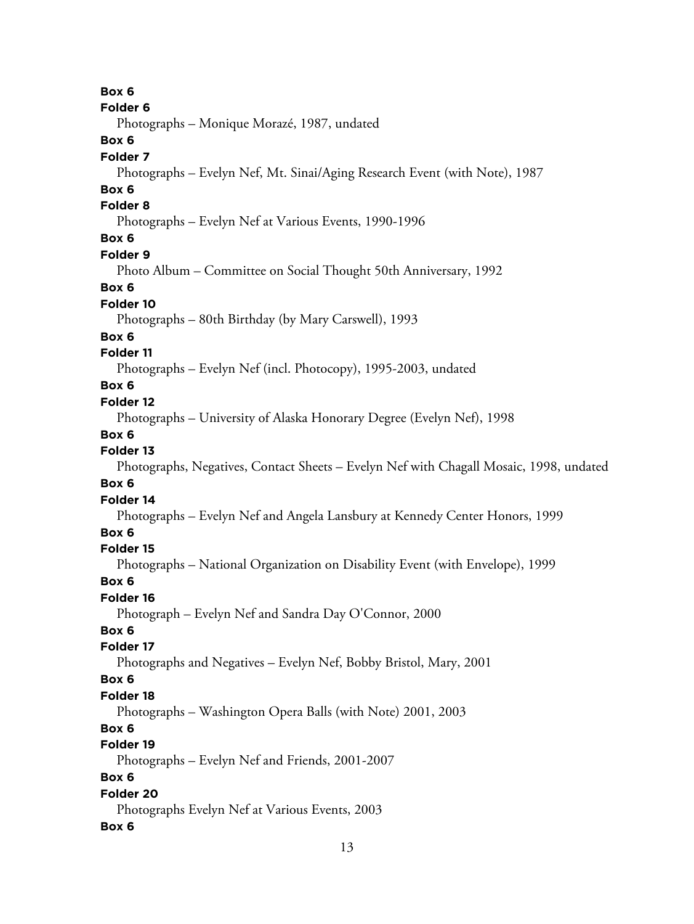**Box 6 Folder 6** Photographs – Monique Morazé, 1987, undated **Box 6 Folder 7** Photographs – Evelyn Nef, Mt. Sinai/Aging Research Event (with Note), 1987 **Box 6 Folder 8** Photographs – Evelyn Nef at Various Events, 1990-1996 **Box 6 Folder 9** Photo Album – Committee on Social Thought 50th Anniversary, 1992 **Box 6 Folder 10** Photographs – 80th Birthday (by Mary Carswell), 1993 **Box 6 Folder 11** Photographs – Evelyn Nef (incl. Photocopy), 1995-2003, undated **Box 6 Folder 12** Photographs – University of Alaska Honorary Degree (Evelyn Nef), 1998 **Box 6 Folder 13** Photographs, Negatives, Contact Sheets – Evelyn Nef with Chagall Mosaic, 1998, undated **Box 6 Folder 14** Photographs – Evelyn Nef and Angela Lansbury at Kennedy Center Honors, 1999 **Box 6 Folder 15** Photographs – National Organization on Disability Event (with Envelope), 1999 **Box 6 Folder 16** Photograph – Evelyn Nef and Sandra Day O'Connor, 2000 **Box 6 Folder 17** Photographs and Negatives – Evelyn Nef, Bobby Bristol, Mary, 2001 **Box 6 Folder 18** Photographs – Washington Opera Balls (with Note) 2001, 2003 **Box 6 Folder 19** Photographs – Evelyn Nef and Friends, 2001-2007 **Box 6 Folder 20** Photographs Evelyn Nef at Various Events, 2003 **Box 6**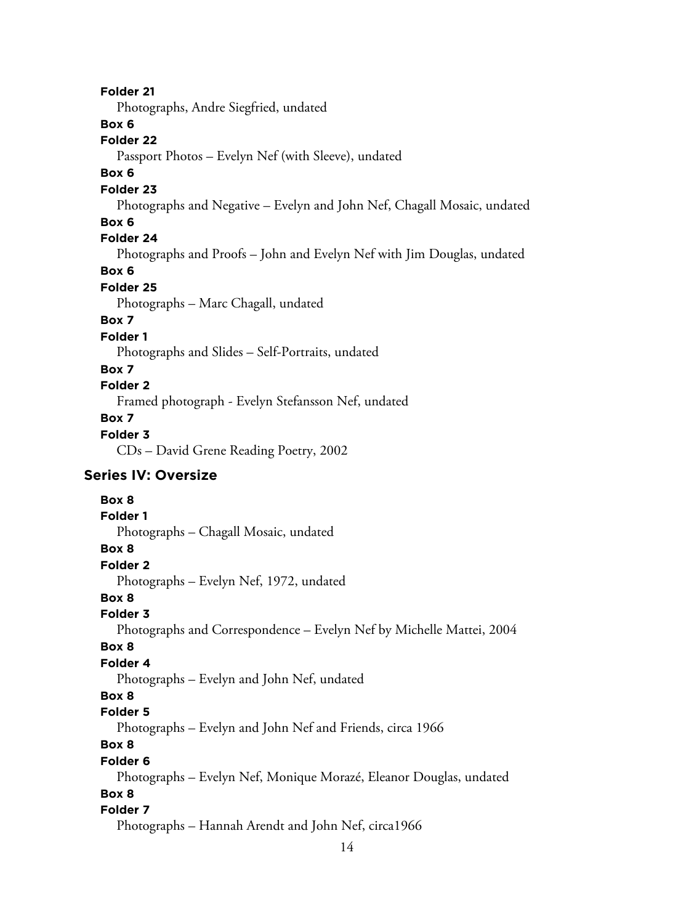# **Folder 21**

Photographs, Andre Siegfried, undated

# **Box 6**

**Folder 22**

Passport Photos – Evelyn Nef (with Sleeve), undated

#### **Box 6**

#### **Folder 23**

Photographs and Negative – Evelyn and John Nef, Chagall Mosaic, undated

## **Box 6**

# **Folder 24**

Photographs and Proofs – John and Evelyn Nef with Jim Douglas, undated

# **Box 6**

## **Folder 25**

Photographs – Marc Chagall, undated

# **Box 7**

**Folder 1**

Photographs and Slides – Self-Portraits, undated

## **Box 7**

# **Folder 2**

Framed photograph - Evelyn Stefansson Nef, undated

# **Box 7**

# **Folder 3**

CDs – David Grene Reading Poetry, 2002

# **Series IV: Oversize**

# **Box 8 Folder 1** Photographs – Chagall Mosaic, undated **Box 8 Folder 2** Photographs – Evelyn Nef, 1972, undated **Box 8 Folder 3** Photographs and Correspondence – Evelyn Nef by Michelle Mattei, 2004 **Box 8 Folder 4** Photographs – Evelyn and John Nef, undated **Box 8 Folder 5** Photographs – Evelyn and John Nef and Friends, circa 1966 **Box 8 Folder 6** Photographs – Evelyn Nef, Monique Morazé, Eleanor Douglas, undated **Box 8 Folder 7** Photographs – Hannah Arendt and John Nef, circa1966